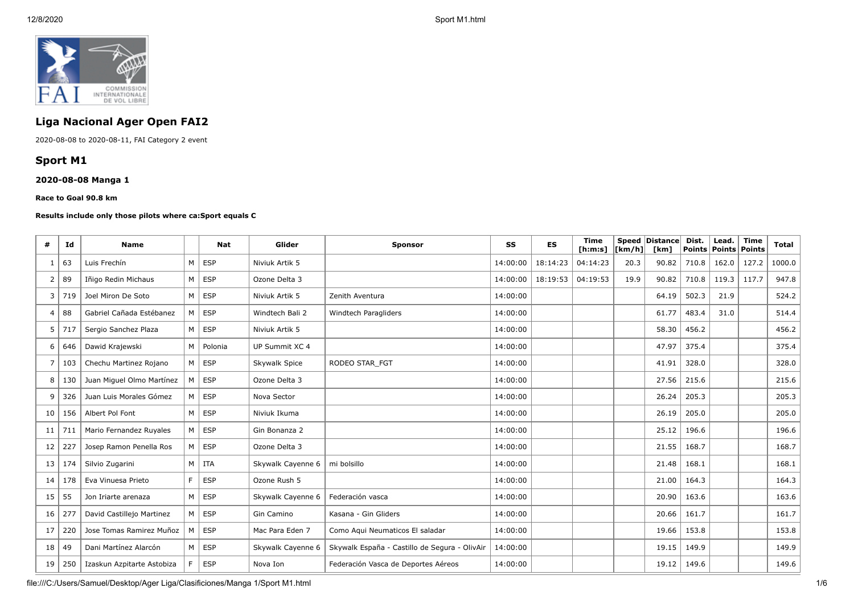

# **Liga Nacional Ager Open FAI2**

2020-08-08 to 2020-08-11, FAI Category 2 event

# **Sport M1**

## **2020-08-08 Manga 1**

#### **Race to Goal 90.8 km**

#### **Results include only those pilots where ca:Sport equals C**

| #  | Id  | <b>Name</b>                |                | <b>Nat</b>    | Glider            | <b>Sponsor</b>                                | SS       | <b>ES</b> | <b>Time</b><br>[h:m:s] | [km/h] | Speed Distance<br>[km] | Dist.<br><b>Points</b> | Lead.<br><b>Points Points</b> | <b>Time</b> | <b>Total</b> |
|----|-----|----------------------------|----------------|---------------|-------------------|-----------------------------------------------|----------|-----------|------------------------|--------|------------------------|------------------------|-------------------------------|-------------|--------------|
| -1 | 63  | Luis Frechín               |                | $M \vert$ ESP | Niviuk Artik 5    |                                               | 14:00:00 | 18:14:23  | 04:14:23               | 20.3   | 90.82                  | 710.8                  | 162.0                         | 127.2       | 1000.0       |
| 2  | 89  | Iñigo Redin Michaus        |                | $M \vert$ ESP | Ozone Delta 3     |                                               | 14:00:00 | 18:19:53  | 04:19:53               | 19.9   | 90.82                  | 710.8                  | 119.3                         | 117.7       | 947.8        |
| 3  | 719 | Joel Miron De Soto         | M <sub>1</sub> | ESP           | Niviuk Artik 5    | Zenith Aventura                               | 14:00:00 |           |                        |        | 64.19                  | 502.3                  | 21.9                          |             | 524.2        |
| 4  | 88  | Gabriel Cañada Estébanez   |                | $M \vert$ ESP | Windtech Bali 2   | Windtech Paragliders                          | 14:00:00 |           |                        |        | 61.77                  | 483.4                  | 31.0                          |             | 514.4        |
| 5  | 717 | Sergio Sanchez Plaza       |                | $M \vert$ ESP | Niviuk Artik 5    |                                               | 14:00:00 |           |                        |        | 58.30                  | 456.2                  |                               |             | 456.2        |
| 6  | 646 | Dawid Krajewski            | M <sub>1</sub> | Polonia       | UP Summit XC 4    |                                               | 14:00:00 |           |                        |        | 47.97                  | 375.4                  |                               |             | 375.4        |
| 7  | 103 | Chechu Martinez Rojano     |                | $M \vert$ ESP | Skywalk Spice     | RODEO STAR FGT                                | 14:00:00 |           |                        |        | 41.91                  | 328.0                  |                               |             | 328.0        |
| 8  | 130 | Juan Miguel Olmo Martínez  | M              | <b>ESP</b>    | Ozone Delta 3     |                                               | 14:00:00 |           |                        |        | 27.56                  | 215.6                  |                               |             | 215.6        |
| 9  | 326 | Juan Luis Morales Gómez    |                | $M \vert$ ESP | Nova Sector       |                                               | 14:00:00 |           |                        |        | 26.24                  | 205.3                  |                               |             | 205.3        |
| 10 | 156 | Albert Pol Font            |                | $M \vert$ ESP | Niviuk Ikuma      |                                               | 14:00:00 |           |                        |        | 26.19                  | 205.0                  |                               |             | 205.0        |
| 11 | 711 | Mario Fernandez Ruyales    |                | $M \vert$ ESP | Gin Bonanza 2     |                                               | 14:00:00 |           |                        |        | 25.12                  | 196.6                  |                               |             | 196.6        |
| 12 | 227 | Josep Ramon Penella Ros    | M <sub>1</sub> | <b>ESP</b>    | Ozone Delta 3     |                                               | 14:00:00 |           |                        |        | 21.55                  | 168.7                  |                               |             | 168.7        |
| 13 | 174 | Silvio Zugarini            |                | $M$   ITA     | Skywalk Cayenne 6 | mi bolsillo                                   | 14:00:00 |           |                        |        | 21.48                  | 168.1                  |                               |             | 168.1        |
| 14 | 178 | Eva Vinuesa Prieto         | F              | <b>ESP</b>    | Ozone Rush 5      |                                               | 14:00:00 |           |                        |        | 21.00                  | 164.3                  |                               |             | 164.3        |
| 15 | 55  | Jon Iriarte arenaza        | M              | <b>ESP</b>    | Skywalk Cayenne 6 | Federación vasca                              | 14:00:00 |           |                        |        | 20.90                  | 163.6                  |                               |             | 163.6        |
| 16 | 277 | David Castillejo Martinez  |                | $M \vert$ ESP | Gin Camino        | Kasana - Gin Gliders                          | 14:00:00 |           |                        |        | 20.66                  | 161.7                  |                               |             | 161.7        |
| 17 | 220 | Jose Tomas Ramirez Muñoz   | M              | ESP           | Mac Para Eden 7   | Como Aqui Neumaticos El saladar               | 14:00:00 |           |                        |        | 19.66                  | 153.8                  |                               |             | 153.8        |
| 18 | 49  | Dani Martínez Alarcón      |                | $M \vert$ ESP | Skywalk Cayenne 6 | Skywalk España - Castillo de Segura - OlivAir | 14:00:00 |           |                        |        | 19.15                  | 149.9                  |                               |             | 149.9        |
| 19 | 250 | Izaskun Azpitarte Astobiza | F.             | <b>ESP</b>    | Nova Ion          | Federación Vasca de Deportes Aéreos           | 14:00:00 |           |                        |        | 19.12                  | 149.6                  |                               |             | 149.6        |

file:///C:/Users/Samuel/Desktop/Ager Liga/Clasificiones/Manga 1/Sport M1.html 1/6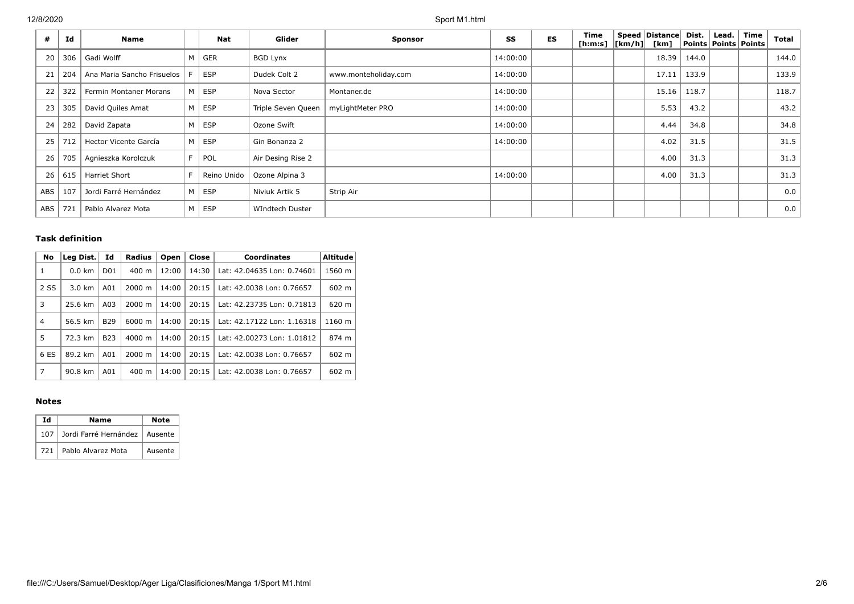12/8/2020 Sport M1.html

| #   | Id  | Name                       |    | <b>Nat</b>  | Glider             | <b>Sponsor</b>       | SS       | <b>ES</b> | Time<br>[h:m:s] $ [km/h] $ | Speed   Distance  <br>[km] | Dist. | Lead. | Time<br>Points   Points   Points | <b>Total</b> |
|-----|-----|----------------------------|----|-------------|--------------------|----------------------|----------|-----------|----------------------------|----------------------------|-------|-------|----------------------------------|--------------|
| 20  | 306 | Gadi Wolff                 | M  | <b>GER</b>  | <b>BGD Lynx</b>    |                      | 14:00:00 |           |                            | 18.39                      | 144.0 |       |                                  | 144.0        |
| 21  | 204 | Ana Maria Sancho Frisuelos | F. | <b>ESP</b>  | Dudek Colt 2       | www.monteholiday.com | 14:00:00 |           |                            | 17.11                      | 133.9 |       |                                  | 133.9        |
| 22  | 322 | Fermin Montaner Morans     | M  | <b>ESP</b>  | Nova Sector        | Montaner.de          | 14:00:00 |           |                            | 15.16                      | 118.7 |       |                                  | 118.7        |
| 23  | 305 | David Quiles Amat          | M  | ESP         | Triple Seven Queen | myLightMeter PRO     | 14:00:00 |           |                            | 5.53                       | 43.2  |       |                                  | 43.2         |
| 24  | 282 | David Zapata               | M  | ESP         | Ozone Swift        |                      | 14:00:00 |           |                            | 4.44                       | 34.8  |       |                                  | 34.8         |
| 25  | 712 | Hector Vicente García      | M  | ESP         | Gin Bonanza 2      |                      | 14:00:00 |           |                            | 4.02                       | 31.5  |       |                                  | 31.5         |
| 26  | 705 | Agnieszka Korolczuk        | F. | POL         | Air Desing Rise 2  |                      |          |           |                            | 4.00                       | 31.3  |       |                                  | 31.3         |
| 26  | 615 | <b>Harriet Short</b>       |    | Reino Unido | Ozone Alpina 3     |                      | 14:00:00 |           |                            | 4.00                       | 31.3  |       |                                  | 31.3         |
| ABS | 107 | Jordi Farré Hernández      | M  | ESP         | Niviuk Artik 5     | Strip Air            |          |           |                            |                            |       |       |                                  | 0.0          |
| ABS | 721 | Pablo Alvarez Mota         | M  | ESP         | WIndtech Duster    |                      |          |           |                            |                            |       |       |                                  | 0.0          |

### **Task definition**

| No   | Leg Dist.        | Id              | <b>Radius</b>      | Open  | Close | <b>Coordinates</b>         | <b>Altitude</b> |
|------|------------------|-----------------|--------------------|-------|-------|----------------------------|-----------------|
| 1    | $0.0 \text{ km}$ | D <sub>01</sub> | $400 \text{ m}$    | 12:00 | 14:30 | Lat: 42.04635 Lon: 0.74601 | 1560 m          |
| 2 SS | $3.0 \text{ km}$ | A01             | 2000 m             | 14:00 | 20:15 | Lat: 42.0038 Lon: 0.76657  | 602 m           |
| 3    | 25.6 km          | A03             | 2000 m             | 14:00 | 20:15 | Lat: 42.23735 Lon: 0.71813 | 620 m           |
| 4    | 56.5 km          | <b>B29</b>      | 6000 m             | 14:00 | 20:15 | Lat: 42.17122 Lon: 1.16318 | 1160 m          |
| 5    | 72.3 km          | <b>B23</b>      | $4000 \; \text{m}$ | 14:00 | 20:15 | Lat: 42.00273 Lon: 1.01812 | 874 m           |
| 6 ES | 89.2 km          | A01             | 2000 m             | 14:00 | 20:15 | Lat: 42.0038 Lon: 0.76657  | 602 m           |
| 7    | 90.8 km          | A01             | $400 \text{ m}$    | 14:00 | 20:15 | Lat: 42.0038 Lon: 0.76657  | 602 m           |

### **Notes**

| Ιd    | Name                                |         |  |  |
|-------|-------------------------------------|---------|--|--|
|       | 107 Jordi Farré Hernández   Ausente |         |  |  |
| 721 l | Pablo Alvarez Mota                  | Ausente |  |  |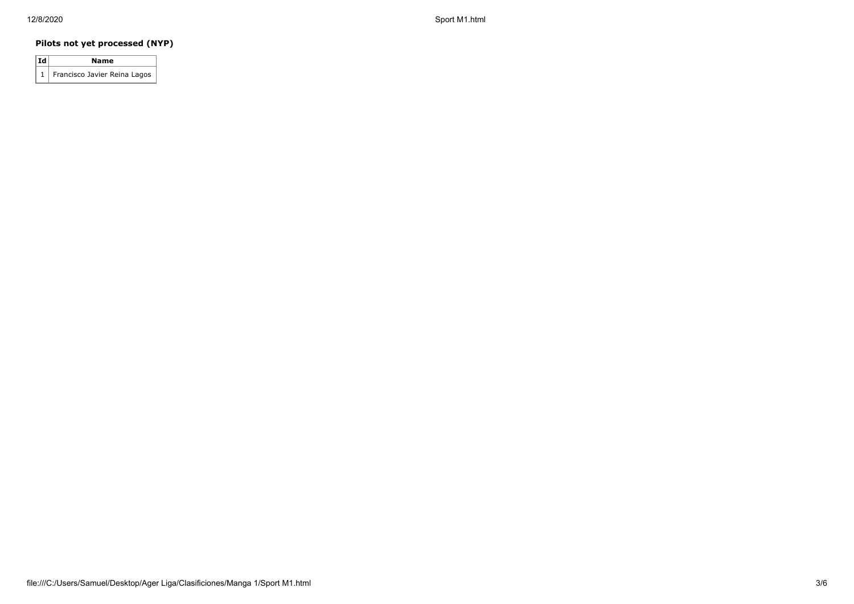12/8/2020 Sport M1.html

## **Pilots not yet processed (NYP)**

| Id | Name                             |
|----|----------------------------------|
|    | 1   Francisco Javier Reina Lagos |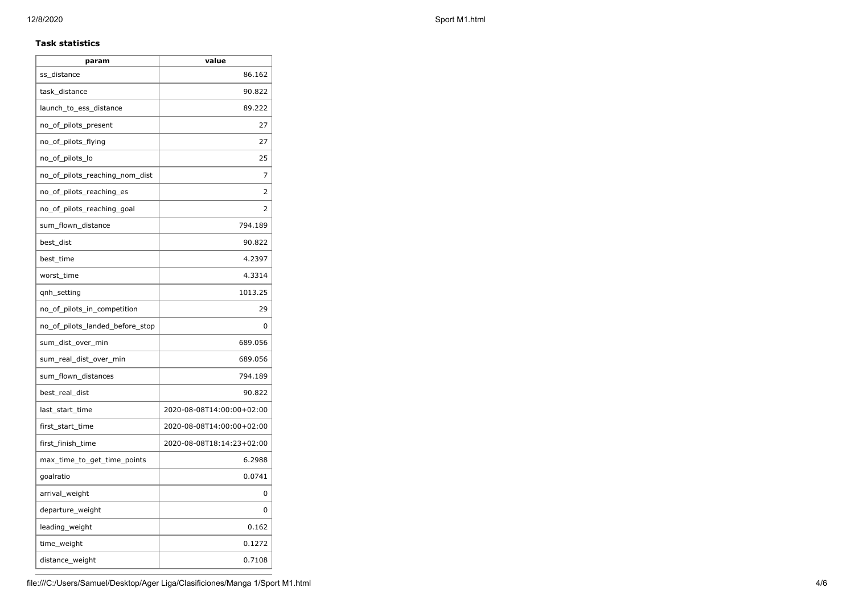#### **Task statistics**

| param                           | value                     |
|---------------------------------|---------------------------|
| ss_distance                     | 86.162                    |
| task_distance                   | 90.822                    |
| launch_to_ess_distance          | 89.222                    |
| no_of_pilots_present            | 27                        |
| no_of_pilots_flying             | 27                        |
| no_of_pilots_lo                 | 25                        |
| no_of_pilots_reaching_nom_dist  | 7                         |
| no of pilots reaching es        | 2                         |
| no_of_pilots_reaching_goal      | $\overline{2}$            |
| sum_flown_distance              | 794.189                   |
| best_dist                       | 90.822                    |
| best_time                       | 4.2397                    |
| worst_time                      | 4.3314                    |
| qnh_setting                     | 1013.25                   |
| no_of_pilots_in_competition     | 29                        |
| no_of_pilots_landed_before_stop | 0                         |
| sum_dist_over_min               | 689.056                   |
| sum_real_dist_over_min          | 689.056                   |
| sum_flown_distances             | 794.189                   |
| best_real_dist                  | 90.822                    |
| last_start_time                 | 2020-08-08T14:00:00+02:00 |
| first_start_time                | 2020-08-08T14:00:00+02:00 |
| first_finish_time               | 2020-08-08T18:14:23+02:00 |
| max_time_to_get_time_points     | 6.2988                    |
| goalratio                       | 0.0741                    |
| arrival_weight                  | 0                         |
| departure_weight                | 0                         |
| leading_weight                  | 0.162                     |
| time_weight                     | 0.1272                    |
| distance_weight                 | 0.7108                    |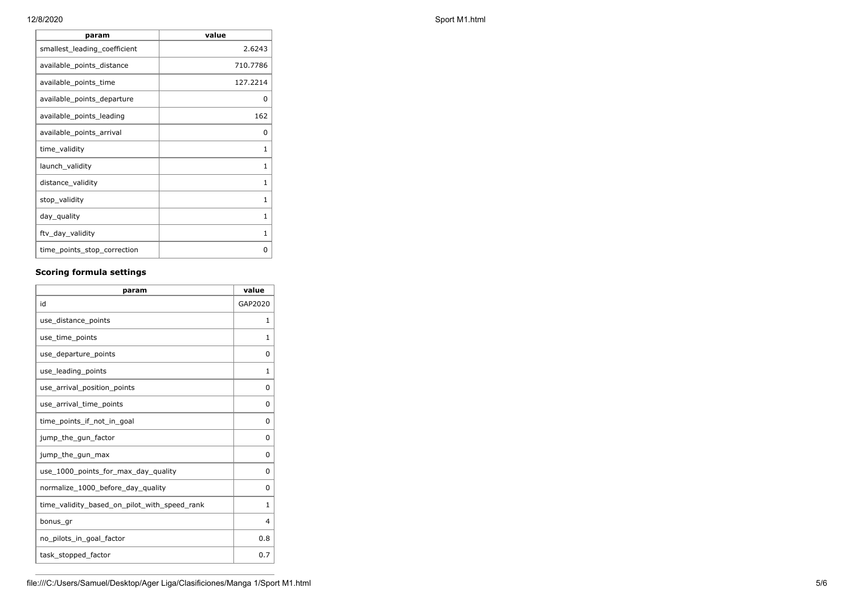| 12/8/2020 | Sport M1.html |
|-----------|---------------|
|           |               |

| param                        | value        |
|------------------------------|--------------|
| smallest_leading_coefficient | 2.6243       |
| available_points_distance    | 710.7786     |
| available_points_time        | 127.2214     |
| available_points_departure   | 0            |
| available_points_leading     | 162          |
| available_points_arrival     | 0            |
| time_validity                | 1            |
| launch_validity              | 1            |
| distance_validity            | 1            |
| stop_validity                | 1            |
| day_quality                  | 1            |
| ftv_day_validity             | $\mathbf{1}$ |
| time_points_stop_correction  | 0            |

# **Scoring formula settings**

| param                                        | value    |
|----------------------------------------------|----------|
| id                                           | GAP2020  |
| use_distance_points                          | 1        |
| use_time_points                              | 1        |
| use_departure_points                         | $\Omega$ |
| use_leading_points                           | 1        |
| use_arrival_position_points                  | 0        |
| use_arrival_time_points                      | 0        |
| time points if not in goal                   | 0        |
| jump_the_gun_factor                          | $\Omega$ |
| jump_the_gun_max                             | 0        |
| use_1000_points_for_max_day_quality          | $\Omega$ |
| normalize_1000_before_day_quality            | 0        |
| time_validity_based_on_pilot_with_speed_rank | 1        |
| bonus_gr                                     | 4        |
| no_pilots_in_goal_factor                     | 0.8      |
| task_stopped_factor                          | 0.7      |